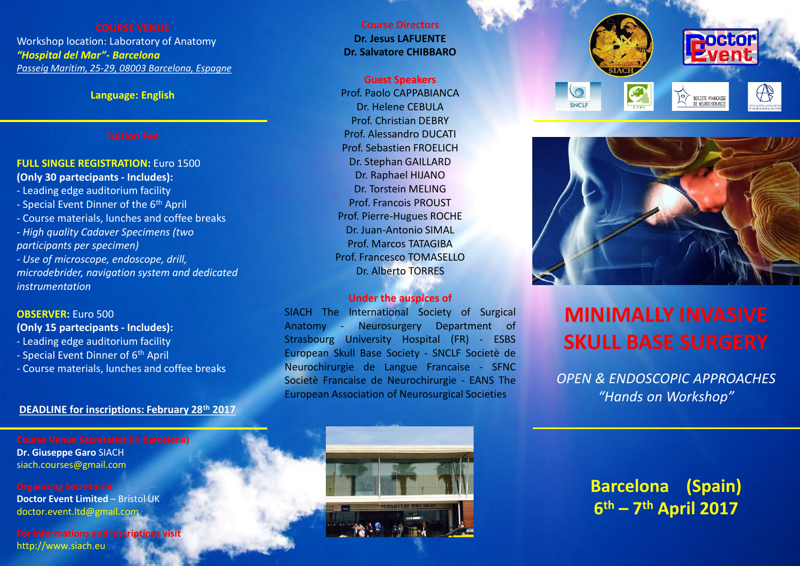Workshop location: Laboratory of Anatomy *"Hospital del Mar"- Barcelona Passeig Marítim, 25-29, 08003 Barcelona, Espagne*

### **Language: English**

### **FULL SINGLE REGISTRATION:** Euro 1500 **(Only 30 partecipants - Includes):**

- Leading edge auditorium facility - Special Event Dinner of the 6<sup>th</sup> April - Course materials, lunches and coffee breaks *- High quality Cadaver Specimens (two participants per specimen) - Use of microscope, endoscope, drill, microdebrider, navigation system and dedicated instrumentation*

### **OBSERVER:** Euro 500

**(Only 15 partecipants - Includes):**

- Leading edge auditorium facility
- Special Event Dinner of 6th April
- Course materials, lunches and coffee breaks

### **DEADLINE for inscriptions: February 28th 2017**

**Course Venue Secretariat (in Barcelona) Dr. Giuseppe Garo** SIACH siach.courses@gmail.com

**Doctor Event Limited – Bristol UK** doctor.event.ltd@gmail.com

**For informations and inscriptions visit** http://www.siach.eu

**Course Directors Dr. Jesus LAFUENTE Dr. Salvatore CHIBBARO** 

**Guest Speakers** Prof. Paolo CAPPABIANCA Dr. Helene CEBULA Prof. Christian DEBRY Prof. Alessandro DUCATI Prof. Sebastien FROELICH Dr. Stephan GAILLARD Dr. Raphael HIJANO Dr. Torstein MELING Prof. Francois PROUST Prof. Pierre-Hugues ROCHE Dr. Juan-Antonio SIMAL Prof. Marcos TATAGIBA Prof. Francesco TOMASELLO Dr. Alberto TORRES

### **Under the auspices of**

SIACH The International Society of Surgical Anatomy - Neurosurgery Department of Strasbourg University Hospital (FR) - ESBS European Skull Base Society - SNCLF Societè de Neurochirurgie de Langue Francaise - SFNC Societè Francaise de Neurochirurgie - EANS The European Association of Neurosurgical Societies





# **MINIMALLY INVASIVE SKULL BASE SURGERY**

*OPEN & ENDOSCOPIC APPROACHES "Hands on Workshop"*



**Barcelona (Spain) 6 th – 7 th April 2017**